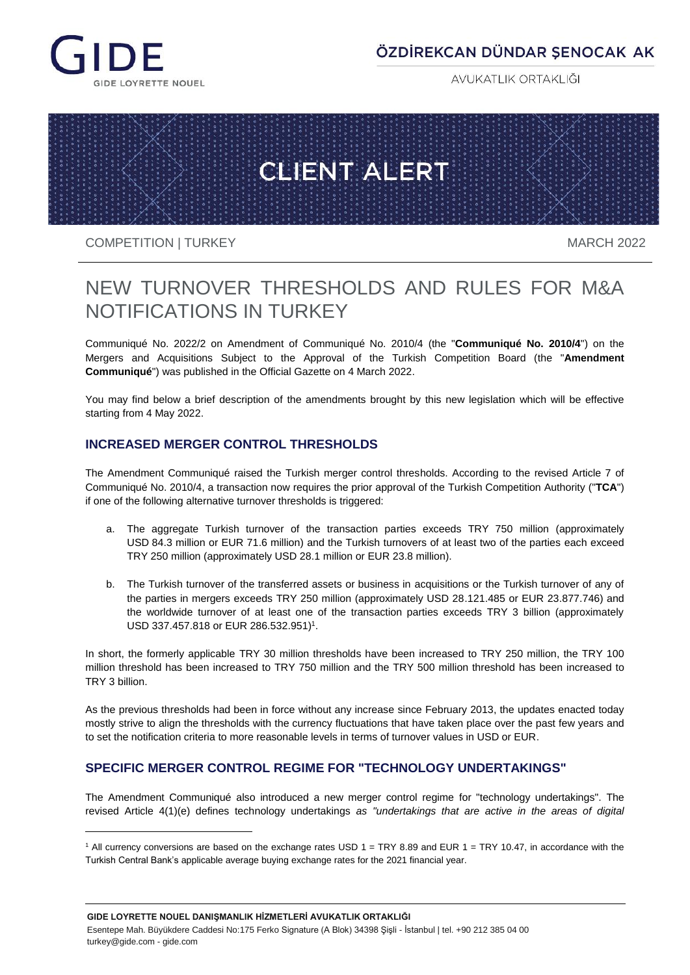

# ÖZDİREKCAN DÜNDAR ŞENOCAK AK

AVUKATLIK ORTAKLIĞI



#### COMPETITION | TURKEY MARCH 2022

l

# NEW TURNOVER THRESHOLDS AND RULES FOR M&A NOTIFICATIONS IN TURKEY

Communiqué No. 2022/2 on Amendment of Communiqué No. 2010/4 (the "**Communiqué No. 2010/4**") on the Mergers and Acquisitions Subject to the Approval of the Turkish Competition Board (the "**Amendment Communiqué**") was published in the Official Gazette on 4 March 2022.

You may find below a brief description of the amendments brought by this new legislation which will be effective starting from 4 May 2022.

### **INCREASED MERGER CONTROL THRESHOLDS**

The Amendment Communiqué raised the Turkish merger control thresholds. According to the revised Article 7 of Communiqué No. 2010/4, a transaction now requires the prior approval of the Turkish Competition Authority ("**TCA**") if one of the following alternative turnover thresholds is triggered:

- a. The aggregate Turkish turnover of the transaction parties exceeds TRY 750 million (approximately USD 84.3 million or EUR 71.6 million) and the Turkish turnovers of at least two of the parties each exceed TRY 250 million (approximately USD 28.1 million or EUR 23.8 million).
- b. The Turkish turnover of the transferred assets or business in acquisitions or the Turkish turnover of any of the parties in mergers exceeds TRY 250 million (approximately USD 28.121.485 or EUR 23.877.746) and the worldwide turnover of at least one of the transaction parties exceeds TRY 3 billion (approximately USD 337.457.818 or EUR 286.532.951)<sup>1</sup>.

In short, the formerly applicable TRY 30 million thresholds have been increased to TRY 250 million, the TRY 100 million threshold has been increased to TRY 750 million and the TRY 500 million threshold has been increased to TRY 3 billion.

As the previous thresholds had been in force without any increase since February 2013, the updates enacted today mostly strive to align the thresholds with the currency fluctuations that have taken place over the past few years and to set the notification criteria to more reasonable levels in terms of turnover values in USD or EUR.

## **SPECIFIC MERGER CONTROL REGIME FOR "TECHNOLOGY UNDERTAKINGS"**

The Amendment Communiqué also introduced a new merger control regime for "technology undertakings". The revised Article 4(1)(e) defines technology undertakings *as "undertakings that are active in the areas of digital* 

 $1$  All currency conversions are based on the exchange rates USD  $1 = TRY 8.89$  and EUR  $1 = TRY 10.47$ , in accordance with the Turkish Central Bank's applicable average buying exchange rates for the 2021 financial year.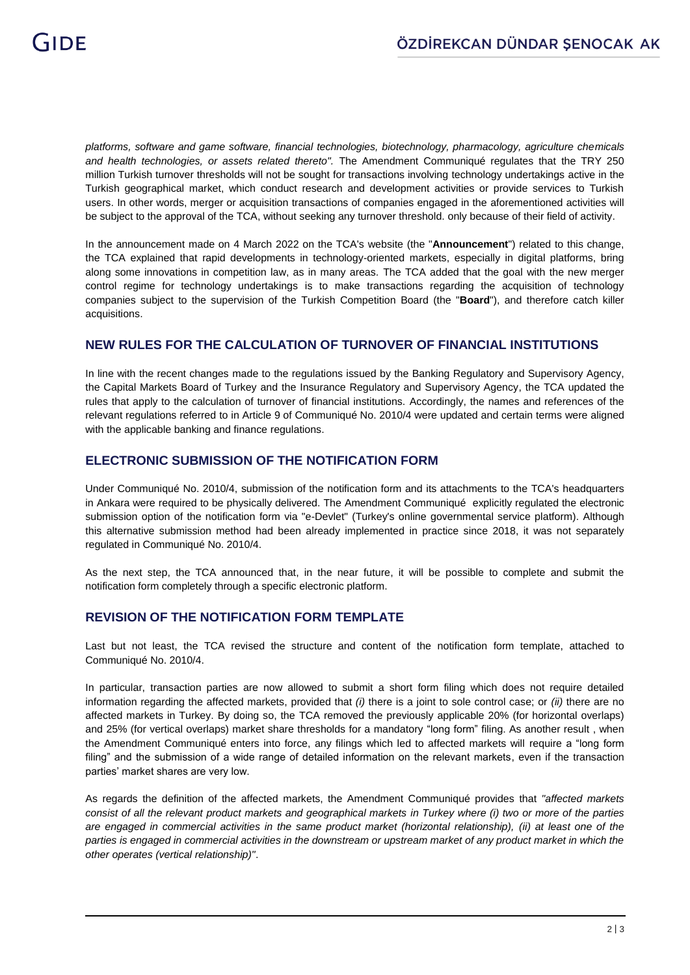*platforms, software and game software, financial technologies, biotechnology, pharmacology, agriculture chemicals and health technologies, or assets related thereto".* The Amendment Communiqué regulates that the TRY 250 million Turkish turnover thresholds will not be sought for transactions involving technology undertakings active in the Turkish geographical market, which conduct research and development activities or provide services to Turkish users. In other words, merger or acquisition transactions of companies engaged in the aforementioned activities will be subject to the approval of the TCA, without seeking any turnover threshold. only because of their field of activity.

In the announcement made on 4 March 2022 on the TCA's website (the "**Announcement**") related to this change, the TCA explained that rapid developments in technology-oriented markets, especially in digital platforms, bring along some innovations in competition law, as in many areas. The TCA added that the goal with the new merger control regime for technology undertakings is to make transactions regarding the acquisition of technology companies subject to the supervision of the Turkish Competition Board (the "**Board**"), and therefore catch killer acquisitions.

#### **NEW RULES FOR THE CALCULATION OF TURNOVER OF FINANCIAL INSTITUTIONS**

In line with the recent changes made to the regulations issued by the Banking Regulatory and Supervisory Agency, the Capital Markets Board of Turkey and the Insurance Regulatory and Supervisory Agency, the TCA updated the rules that apply to the calculation of turnover of financial institutions. Accordingly, the names and references of the relevant regulations referred to in Article 9 of Communiqué No. 2010/4 were updated and certain terms were aligned with the applicable banking and finance regulations.

#### **ELECTRONIC SUBMISSION OF THE NOTIFICATION FORM**

Under Communiqué No. 2010/4, submission of the notification form and its attachments to the TCA's headquarters in Ankara were required to be physically delivered. The Amendment Communiqué explicitly regulated the electronic submission option of the notification form via "e-Devlet" (Turkey's online governmental service platform). Although this alternative submission method had been already implemented in practice since 2018, it was not separately regulated in Communiqué No. 2010/4.

As the next step, the TCA announced that, in the near future, it will be possible to complete and submit the notification form completely through a specific electronic platform.

#### **REVISION OF THE NOTIFICATION FORM TEMPLATE**

Last but not least, the TCA revised the structure and content of the notification form template, attached to Communiqué No. 2010/4.

In particular, transaction parties are now allowed to submit a short form filing which does not require detailed information regarding the affected markets, provided that *(i)* there is a joint to sole control case; or *(ii)* there are no affected markets in Turkey. By doing so, the TCA removed the previously applicable 20% (for horizontal overlaps) and 25% (for vertical overlaps) market share thresholds for a mandatory "long form" filing. As another result , when the Amendment Communiqué enters into force, any filings which led to affected markets will require a "long form filing" and the submission of a wide range of detailed information on the relevant markets, even if the transaction parties' market shares are very low.

As regards the definition of the affected markets, the Amendment Communiqué provides that *"affected markets*  consist of all the relevant product markets and geographical markets in Turkey where (i) two or more of the parties *are engaged in commercial activities in the same product market (horizontal relationship), (ii) at least one of the parties is engaged in commercial activities in the downstream or upstream market of any product market in which the other operates (vertical relationship)"*.